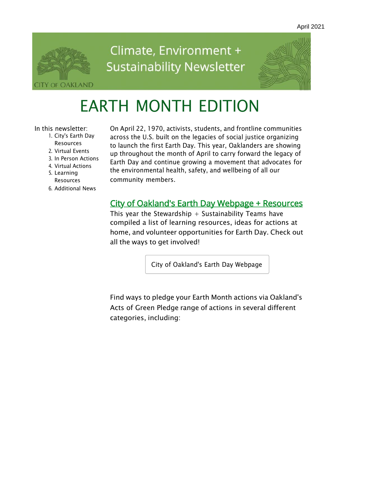

# Climate, Environment + **Sustainability Newsletter**



# EARTH MONTH EDITION

In this newsletter:

- 1. City's Earth Day Resources
- 2. Virtual Events
- 3. In Person Actions
- 4. Virtual Actions
- 5. Learning Resources
- 6. Additional News

On April 22, 1970, activists, students, and frontline communities across the U.S. built on the legacies of social justice organizing to launch the first Earth Day. This year, Oaklanders are showing up throughout the month of April to carry forward the legacy of Earth Day and continue growing a movement that advocates for the environmental health, safety, and wellbeing of all our community members.

#### **City of Oakland's Earth Day Webpage + Resources**

This year the Stewardship  $+$  Sustainability Teams have compiled a list of learning resources, ideas for actions at home, and volunteer opportunities for Earth Day. Check out all the ways to get involved!

City of [Oakland's](https://www.oaklandca.gov/topics/oakland-earth-month-april-2021) Earth Day Webpage

Find ways to pledge your Earth Month actions via Oakland's Acts of Green Pledge range of actions in several different categories, including: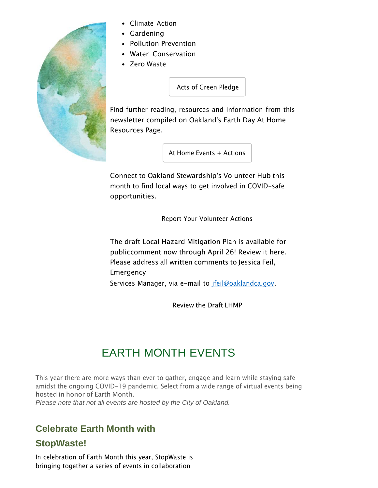

- Climate Action
- Gardening
- Pollution Prevention
- Water Conservation
- Zero Waste

Acts of Green [Pledge](https://survey123.arcgis.com/share/8aa0cbaa141c4923b90656d7c3726d3c)

Find further reading, resources and information from this newsletter compiled on Oakland's Earth Day At Home Resources Page.

At Home Events  $+$  [Actions](https://www.oaklandca.gov/resources/earth-day-2021-resources)

Connect to Oakland Stewardship's Volunteer Hub this month to find local ways to get involved in COVID-safe opportunities.

Report Your [Volunteer](https://oakland-volunteer-community-oakgis.hub.arcgis.com/pages/oakland-earth-day-2021-hub) Actions

The draft Local Hazard Mitigation Plan is available for publiccomment now through April 26! Review it here. Please address all written comments to Jessica Feil, Emergency Services Manager, via e-mail to [jfeil@oaklandca.gov.](mailto:jfeil@oaklandca.gov)

[Review](https://cao-94612.s3.amazonaws.com/documents/2021-04-09_OaklandHMP_PublicReviewDraft.pdf) the Draft LHMP

# EARTH MONTH EVENTS

This year there are more ways than ever to gather, engage and learn while staying safe amidst the ongoing COVID-19 pandemic. Select from a wide range of virtual events being hosted in honor of Earth Month.

*Please note that not all events are hosted by the City of Oakland.*

### **Celebrate Earth Month with**

#### **StopWaste!**

In celebration of Earth Month this year, StopWaste is bringing together a series of events in collaboration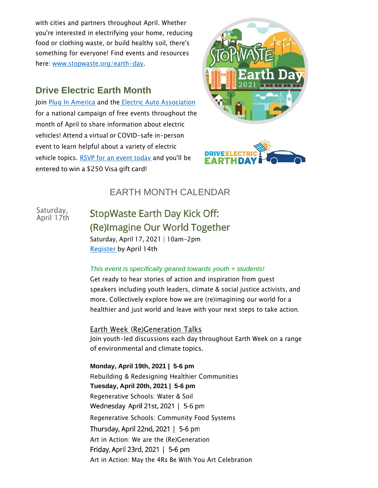with cities and partners throughout April. Whether you're interested in electrifying your home, reducing food or clothing waste, or build healthy soil, there's something for everyone! Find events and resources here: [www.stopwaste.org/earth-day.](https://urldefense.proofpoint.com/v2/url?u=http-3A__www.stopwaste.org_earth-2Dday&d=DwMFAg&c=6ZboKdJzR8nZOqwBjhPnCw&r=jN2W7rA8V4JR3z2GF2xi7ATVi6Su_Fk-TWuodQ37nSQ&m=2JwerY13432iX5HJN0B44KkoMp3TB3_QJ58ZJFqnyHw&s=Qb5uYLwdfIMvva_NCiIutwsx_xyTECFXbhsAfPtzenU&e)

#### **Drive Electric Earth Month**

Join Plug [In America](https://pluginamerica.org/) and the [Electric Auto Association](https://www.electricauto.org/) for a national campaign of free events throughout the month of April to share information about electric vehicles! Attend a virtual or COVID-safe in-person event to learn helpful about a variety of electric vehicle topics. RSVP for an [event today](http://driveelectricearthday.org/) and you'll be entered to win a \$250 Visa gift card!





### EARTH MONTH CALENDAR

Saturday, April 17th StopWaste Earth Day Kick Off: (Re) Imagine Our World Together Saturday, April 17, 2021 | 10am-2pm [Register](https://forms.office.com/Pages/ResponsePage.aspx?id=2HwTd62DSUaIGt-8OLdWaAkRVYd6S0BGuF9-jV7YUC9UN0Y3NVZYNE5VSzY5VDhLNUs1WFZFNDhOMS4u) by April 14th

#### *This event is specifically geared towards youth + students!*

Get ready to hear stories of action and inspiration from guest speakers including youth leaders, climate & social justice activists, and more. Collectively explore how we are (re)imagining our world for a healthier and just world and leave with your next steps to take action.

Earth Week (Re)Generation Talks Join youth-led discussions each day throughout Earth Week on a range of environmental and climate topics.

**Monday, April 19th, 2021 | 5-6 pm** Rebuilding & Redesigning Healthier Communities **Tuesday, April 20th, 2021 | 5-6 pm** Regenerative Schools: Water & Soil Wednesday April 21st, 2021 | 5-6 pm Regenerative Schools: Community Food Systems Thursday, April 22nd, 2021 | 5-6 pm Art in Action: We are the (Re)Generation Friday, April 23rd, 2021 | 5-6 pm Art in Action: May the 4Rs Be With You Art Celebration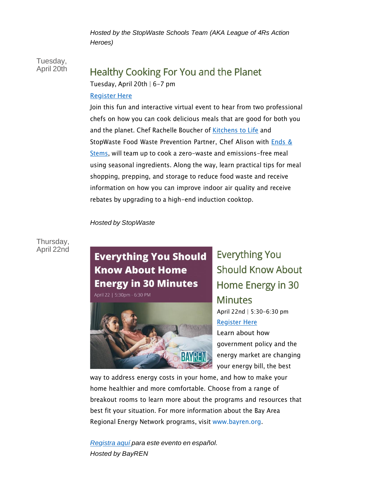*Hosted by the StopWaste Schools Team (AKA League of 4Rs Action Heroes)*

Tuesday, April 20th

### Healthy Cooking For You and the Planet

Tuesday, April 20th | 6-7 pm

#### [Register](https://stopwaste.zoom.us/webinar/register/WN_VCvtkMrfR3O9cmHZ_sEI8w) Here

Join this fun and interactive virtual event to hear from two professional chefs on how you can cook delicious meals that are good for both you and the planet. Chef Rachelle Boucher of [Kitchens](https://www.kitchenstolife.com/) to Life and StopWaste Food Waste [Prevention](https://endsandstems.com/) Partner, Chef Alison with **Ends &** Stems, will team up to cook a zero-waste and [emissions-free](https://endsandstems.com/) meal using seasonal ingredients. Along the way, learn practical tips for meal shopping, prepping, and storage to reduce food waste and receive information on how you can improve indoor air quality and receive rebates by upgrading to a high-end induction cooktop.

#### *Hosted by StopWaste*

#### Thursday, April 22nd

# **Everything You Should Know About Home Energy in 30 Minutes**

April 22 | 5:30pm - 6:30 PM



**Everything You Should Know About** Home Energy in 30 **Minutes** April 22nd | 5:30-6:30 pm [Register](https://www.eventbrite.com/e/everything-you-should-know-about-home-energy-in-30-minutes-tickets-145955080575) Here Learn about how government policy and the energy market are changing your energy bill, the best

way to address energy costs in your home, and how to make your home healthier and more comfortable. Choose from a range of breakout rooms to learn more about the programs and resources that best fit your situation. For more information about the Bay Area Regional Energy Network programs, visit [www.bayren.org.](https://www.bayren.org/)

*[Registra](https://www.eventbrite.com/e/todo-lo-que-usted-debe-saber-acerca-de-la-energia-en-el-hogar-en-30-minutos-tickets-147726805853) aquí para este evento en español. Hosted by BayREN*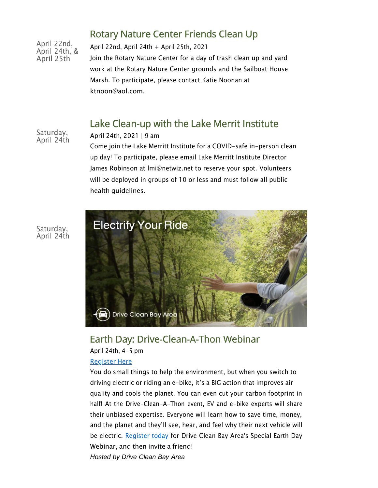### Rotary Nature Center Friends Clean Up

April 22nd, April 24th, & April 25th

April 22nd, April 24th + April 25th, 2021 Join the Rotary Nature Center for a day of trash clean up and yard work at the Rotary Nature Center grounds and the Sailboat House Marsh. To participate, please contact Katie Noonan at [ktnoon@aol.com.](mailto:ktnoon@aol.com)

### Lake Clean-up with the Lake Merrit Institute

Saturday, April 24th

April 24th, 2021 | 9 am

Come join the Lake Merritt Institute for a COVID-safe in-person clean up day! To participate, please email Lake Merritt Institute Director James Robinson at [lmi@netwiz.net](mailto:lmi@netwiz.net) to reserve your spot. Volunteers will be deployed in groups of 10 or less and must follow all public health guidelines.



#### Earth Day: Drive-Clean-A-Thon Webinar

April 24th, 4-5 pm

#### [Register](https://www.mobilize.us/driveclean/event/380699/?force_banner=true&share_context=event_details&share_medium=copy_link) Here

You do small things to help the environment, but when you switch to driving electric or riding an e-bike, it's a BIG action that improves air quality and cools the planet. You can even cut your carbon footprint in half! At the Drive-Clean-A-Thon event, EV and e-bike experts will share their unbiased expertise. Everyone will learn how to save time, money, and the planet and they'll see, hear, and feel why their next vehicle will be electric. [Register today](https://www.mobilize.us/driveclean/event/380699/?force_banner=true&share_context=event_details&share_medium=copy_link) for Drive Clean Bay Area's Special Earth Day Webinar, and then invite a friend! *Hosted by Drive Clean Bay Area*

Saturday, April 24th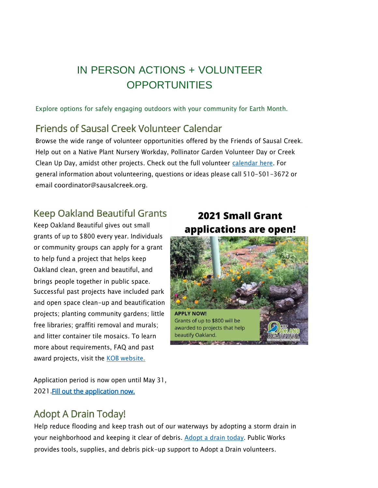## IN PERSON ACTIONS + VOLUNTEER **OPPORTUNITIES**

Explore options for safely engaging outdoors with your community for Earth Month.

### Friends of Sausal Creek Volunteer Calendar

Browse the wide range of volunteer opportunities offered by the Friends of Sausal Creek. Help out on a Native Plant Nursery Workday, Pollinator Garden Volunteer Day or Creek Clean Up Day, amidst other projects. Check out the full volunteer [calendar here.](https://www.sausalcreek.org/event-calendar) For general information about volunteering, questions or ideas please call 510-501-3672 or email [coordinator@sausalcreek.org.](mailto:coordinator@sausalcreek.org)

### **Keep Oakland Beautiful Grants**

Keep Oakland Beautiful gives out small grants of up to \$800 every year. Individuals or community groups can apply for a grant to help fund a project that helps keep Oakland clean, green and beautiful, and brings people together in public space. Successful past projects have included park and open space clean-up and beautification projects; planting community gardens; little free libraries; graffiti removal and murals; and litter container tile mosaics. To learn more about requirements, FAQ and past award projects, visit the KOB [website.](https://www.keepoaklandbeautiful.org/kob-small-grant-program.html)

### **2021 Small Grant** applications are open!



Application period is now open until May 31, 2021 Fill out the application now.

### **Adopt A Drain Today!**

Help reduce flooding and keep trash out of our waterways by adopting a storm drain in your neighborhood and keeping it clear of debris. [Ad](https://oakland-volunteer-community-oakgis.hub.arcgis.com/pages/adopt-a-drain)opt a drain [today.](https://oakland-volunteer-community-oakgis.hub.arcgis.com/pages/adopt-a-drain) Public Works provides tools, supplies, and debris pick-up support to Adopt a Drain volunteers.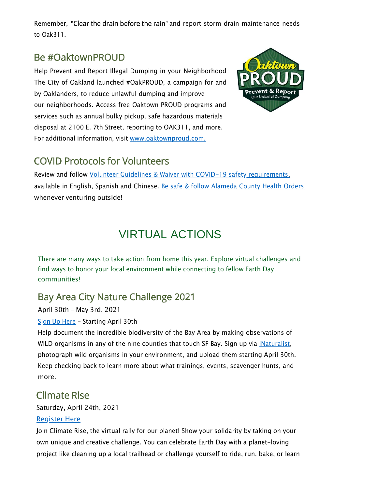Remember, "Clear the drain before the rain" and report storm drain maintenance needs to Oak311.

### Be #OaktownPROUD

Help Prevent and Report Illegal Dumping in your Neighborhood The City of Oakland launched #OakPROUD, a campaign for and by Oaklanders, to reduce unlawful dumping and improve our neighborhoods. Access free Oaktown PROUD programs and services such as annual bulky pickup, safe hazardous materials disposal at 2100 E. 7th Street, reporting to OAK311, and more. For additional information, visit [www.oaktownproud.com.](http://www.oaktownproud.com/)



### **COVID Protocols for Volunteers**

Review and follow [Volunteer Guidelines & Waiver with COVID-19 safety requirements,](http://www.oaklandca.gov/resources/public-works-volunteer-guidelines) available in English, Spanish and Chinese. Be safe & follow [Alameda](http://covid-19.acgov.org/index.page) County Health Orders whenever venturing outside!

# VIRTUAL ACTIONS

There are many ways to take action from home this year. Explore virtual challenges and find ways to honor your local environment while connecting to fellow Earth Day communities!

### **Bay Area City Nature Challenge 2021**

April 30th - May 3rd, 2021

#### Sign Up [Here](https://www.inaturalist.org/projects/city-nature-challenge-2021-san-francisco-bay-area) - Starting April 30th

Help document the incredible biodiversity of the Bay Area by making observations of WILD organisms in any of the nine counties that touch SF Bay. Sign up via [iNaturalist,](https://www.inaturalist.org/projects/city-nature-challenge-2021-san-francisco-bay-area) photograph wild organisms in your environment, and upload them starting April 30th. Keep checking back to learn more about what trainings, events, scavenger hunts, and more.

### **Climate Rise**

Saturday, April 24th, 2021

#### [Register](https://support.climateride.org/index.cfm?fuseaction=donorDrive.event&eventID=751) Here

Join Climate Rise, the virtual rally for our planet! Show your solidarity by taking on your own unique and creative challenge. You can celebrate Earth Day with a planet-loving project like cleaning up a local trailhead or challenge yourself to ride, run, bake, or learn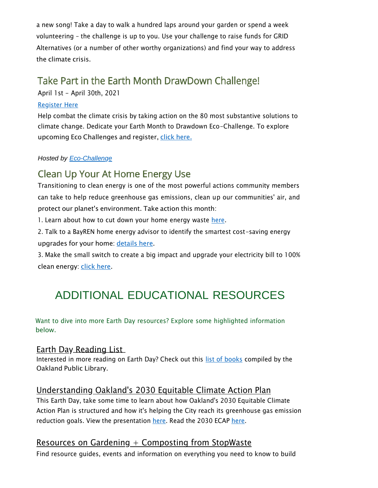a new song! Take a day to walk a hundred laps around your garden or spend a week volunteering – the challenge is up to you. Use your challenge to raise funds for GRID Alternatives (or a number of other worthy organizations) and find your way to address the climate crisis.

### Take Part in the Earth Month DrawDown Challenge!

April 1st - April 30th, 2021

#### [Register](https://ecochallenge.org/global-ecochallenges/) Here

Help combat the climate crisis by taking action on the 80 most substantive solutions to climate change. Dedicate your Earth Month to Drawdown Eco-Challenge. To explore upcoming Eco Challenges and register, click [here.](https://ecochallenge.org/global-ecochallenges/)

#### *Hosted by [Eco-Challenge](https://ecochallenge.org/about/change-model/)*

### **Clean Up Your At Home Energy Use**

Transitioning to clean energy is one of the most powerful actions community members can take to help reduce greenhouse gas emissions, clean up our communities' air, and protect our planet's environment. Take action this month:

1. Learn about how to cut down your home energy waste [here.](https://environmentamerica.org/feature/ame/its-time-take-charge)

2. Talk to a BayREN home energy advisor to identify the smartest cost-saving energy upgrades for your home: [details](http://bayrenresidential.org/) here.

3. Make the small switch to create a big impact and upgrade your electricity bill to 100% clean energy: click [here.](https://ebce.org/change-my-plan/)

# ADDITIONAL EDUCATIONAL RESOURCES

Want to dive into more Earth Day resources? Explore some highlighted information below.

#### Earth Day Reading List

Interested in more reading on Earth Day? Check out this [list of books](https://oaklandlibrary.org/blogs/advice-for-readers/great-reads-earth-day?_ga=2.65836205.2098663654.1617816594-1301160109.1617816594) compiled by the Oakland Public Library.

#### Understanding Oakland's 2030 Equitable Climate Action Plan

This Earth Day, take some time to learn about how Oakland's 2030 Equitable Climate Action Plan is structured and how it's helping the City reach its greenhouse gas emission reduction goals. View the presentation [here.](https://www.oaklandca.gov/projects/2030ecap) Read the 2030 ECAP here.

#### Resources on Gardening  $+$  Composting from StopWaste

Find resource guides, events and information on everything you need to know to build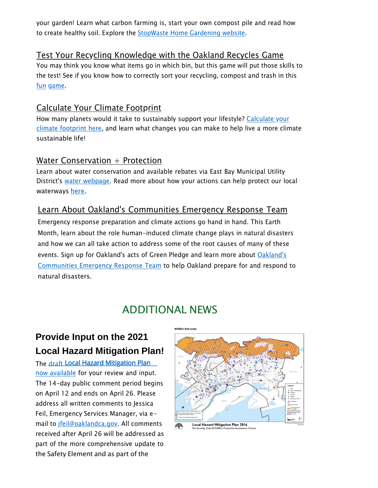your garden! Learn what carbon farming is, start your own compost pile and read how to create healthy soil. Explore the **StopWaste Home [Gardening](https://www.stopwaste.org/at-home/home-gardening) website**.

#### Test Your Recycling Knowledge with the Oakland Recycles Game

You may think you know what items go in which bin, but this game will put those skills to the test! See if you know how to correctly sort your recycling, compost and trash in this fun [game.](https://oaklandca.recycle.game/)

#### Calculate Your Climate Footprint

How many planets would it take to [sustainably](https://www.footprintcalculator.org/) support your lifestyle? Calculate your climate [footprint](https://www.footprintcalculator.org/) here, and learn what changes you can make to help live a more climate sustainable life!

#### Water Conservation  $+$  Protection

Learn about water conservation and available rebates via East Bay Municipal Utility District's water [webpage.](https://www.ebmud.com/water/conservation-and-rebates/) Read more about how your actions can help protect our local waterways [here.](https://www.cleanwaterprogram.org/residents/home-maintenance.html)

#### Learn About Oakland's Communities Emergency Response Team

Emergency response preparation and climate actions go hand in hand. This Earth Month, learn about the role human-induced climate change plays in natural disasters and how we can all take action to address some of the root causes of many of these events. Sign up for [Oakland's](https://www.oaklandca.gov/services/readyoakland) acts of Green Pledge and learn more about Oakland's [Communities](https://www.oaklandca.gov/services/readyoakland) Emergency Response Team to help Oakland prepare for and respond to natural disasters.

### ADDITIONAL NEWS

### **Provide Input on the 2021 Local Hazard Mitigation Plan!**

The [draft](https://www.oaklandca.gov/documents/city-of-oakland-draft-2021-2026-hazard-mitigation-plan) Local Hazard Mitigation Plan now [available](https://www.oaklandca.gov/documents/city-of-oakland-draft-2021-2026-hazard-mitigation-plan) for your review and input. The 14-day public comment period begins on April 12 and ends on April 26. Please address all written comments to Jessica Feil, Emergency Services Manager, via email to [jfeil@oaklandca.gov.](mailto:jfeil@oaklandca.gov) All comments received after April 26 will be addressed as part of the more comprehensive update to the Safety Element and as part of the